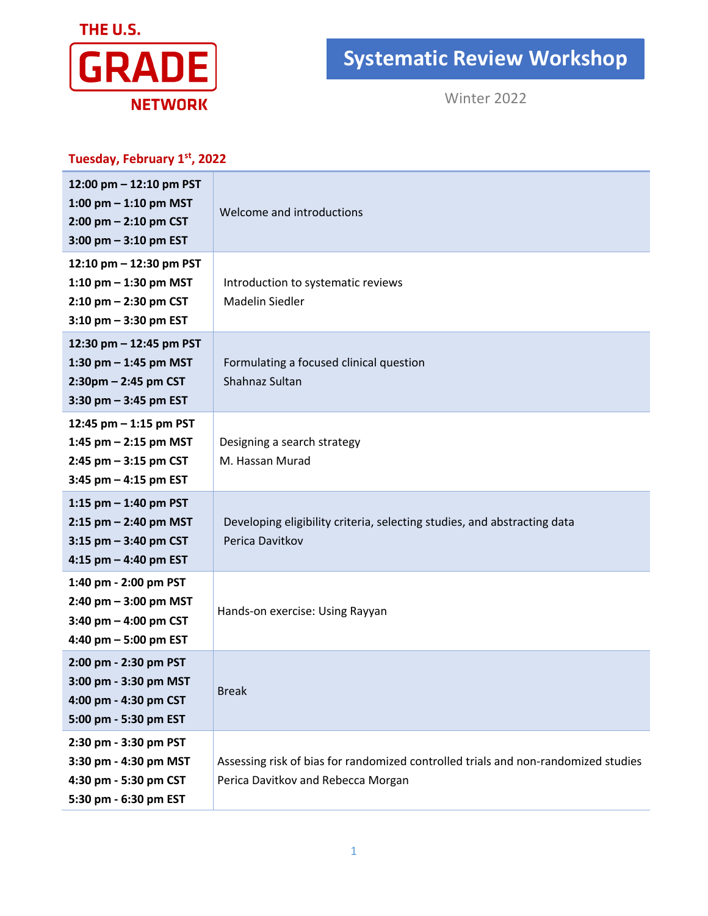

## **Systematic Review Workshop**

Winter 2022

| Tuesday, February 1st, 2022                                                                                 |                                                                                                                          |
|-------------------------------------------------------------------------------------------------------------|--------------------------------------------------------------------------------------------------------------------------|
| 12:00 pm - 12:10 pm PST<br>1:00 pm $-$ 1:10 pm MST<br>$2:00$ pm $- 2:10$ pm CST<br>$3:00$ pm $-3:10$ pm EST | Welcome and introductions                                                                                                |
| 12:10 pm - 12:30 pm PST<br>1:10 pm $-$ 1:30 pm MST<br>$2:10$ pm $- 2:30$ pm CST<br>$3:10$ pm $-3:30$ pm EST | Introduction to systematic reviews<br>Madelin Siedler                                                                    |
| 12:30 pm - 12:45 pm PST<br>1:30 pm $-$ 1:45 pm MST<br>$2:30$ pm $- 2:45$ pm CST<br>$3:30$ pm $-3:45$ pm EST | Formulating a focused clinical question<br>Shahnaz Sultan                                                                |
| 12:45 pm - 1:15 pm PST<br>1:45 pm $-$ 2:15 pm MST<br>$2:45$ pm $-3:15$ pm CST<br>$3:45$ pm $-4:15$ pm EST   | Designing a search strategy<br>M. Hassan Murad                                                                           |
| 1:15 pm $-$ 1:40 pm PST<br>$2:15$ pm $- 2:40$ pm MST<br>$3:15$ pm $-3:40$ pm CST<br>4:15 pm $-$ 4:40 pm EST | Developing eligibility criteria, selecting studies, and abstracting data<br>Perica Davitkov                              |
| 1:40 pm - 2:00 pm PST<br>$2:40$ pm $-3:00$ pm MST<br>3:40 pm $-$ 4:00 pm CST<br>4:40 pm $-5:00$ pm EST      | Hands-on exercise: Using Rayyan                                                                                          |
| 2:00 pm - 2:30 pm PST<br>3:00 pm - 3:30 pm MST<br>4:00 pm - 4:30 pm CST<br>5:00 pm - 5:30 pm EST            | <b>Break</b>                                                                                                             |
| 2:30 pm - 3:30 pm PST<br>3:30 pm - 4:30 pm MST<br>4:30 pm - 5:30 pm CST<br>5:30 pm - 6:30 pm EST            | Assessing risk of bias for randomized controlled trials and non-randomized studies<br>Perica Davitkov and Rebecca Morgan |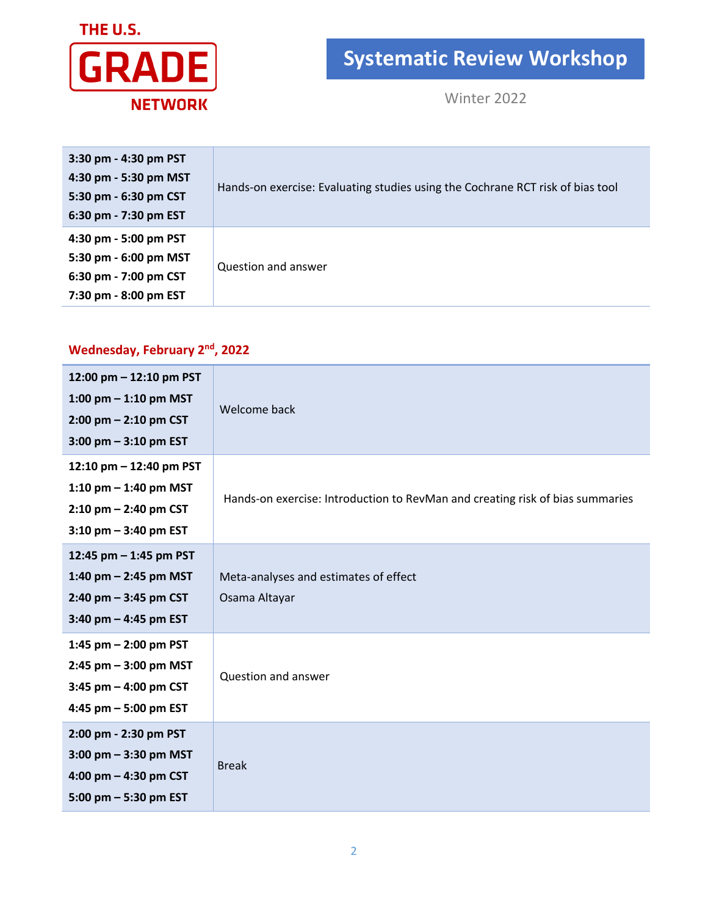

## **Systematic Review Workshop**

Winter 2022

| 3:30 pm - 4:30 pm PST<br>4:30 pm - 5:30 pm MST<br>5:30 pm - 6:30 pm CST<br>6:30 pm - 7:30 pm EST | Hands-on exercise: Evaluating studies using the Cochrane RCT risk of bias tool |
|--------------------------------------------------------------------------------------------------|--------------------------------------------------------------------------------|
| 4:30 pm - 5:00 pm PST<br>5:30 pm - 6:00 pm MST<br>6:30 pm - 7:00 pm CST<br>7:30 pm - 8:00 pm EST | Question and answer                                                            |

## **Wednesday, February 2nd, 2022**

| 12:00 pm - 12:10 pm PST<br>1:00 pm $-$ 1:10 pm MST<br>$2:00$ pm $- 2:10$ pm CST<br>$3:00$ pm $-3:10$ pm EST   | Welcome back                                                                  |
|---------------------------------------------------------------------------------------------------------------|-------------------------------------------------------------------------------|
| 12:10 pm $-$ 12:40 pm PST<br>1:10 pm $-$ 1:40 pm MST<br>$2:10$ pm $- 2:40$ pm CST<br>$3:10$ pm $-3:40$ pm EST | Hands-on exercise: Introduction to RevMan and creating risk of bias summaries |
| 12:45 pm $-$ 1:45 pm PST<br>1:40 pm $-$ 2:45 pm MST<br>$2:40$ pm $-3:45$ pm CST<br>3:40 pm $-$ 4:45 pm EST    | Meta-analyses and estimates of effect<br>Osama Altayar                        |
| 1:45 pm $-$ 2:00 pm PST<br>$2:45$ pm $-3:00$ pm MST<br>3:45 pm $-$ 4:00 pm CST<br>4:45 pm $-5:00$ pm EST      | Question and answer                                                           |
| 2:00 pm - 2:30 pm PST<br>$3:00$ pm $-3:30$ pm MST<br>4:00 pm $-$ 4:30 pm CST<br>5:00 pm $-$ 5:30 pm EST       | <b>Break</b>                                                                  |